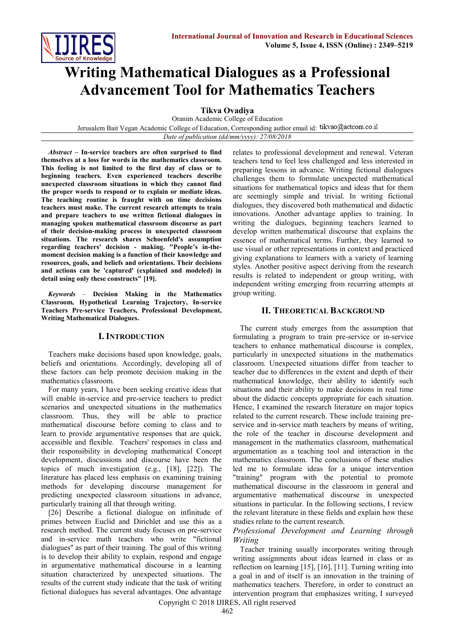

# **Writing Mathematical Dialogues as a Professional Advancement Tool for Mathematics Teachers**

**Tikva Ovadiya** 

Oranim Academic College of Education Jerusalem Bait Vegan Academic College of Education, Corresponding author email id: tikvao@actcom.co.il

*Date of publication (dd/mm/yyyy): 27/08/2018*

*Abstract* **– In-service teachers are often surprised to find themselves at a loss for words in the mathematics classroom. This feeling is not limited to the first day of class or to beginning teachers. Even experienced teachers describe unexpected classroom situations in which they cannot find the proper words to respond or to explain or mediate ideas. The teaching routine is fraught with on time decisions teachers must make. The current research attempts to train and prepare teachers to use written fictional dialogues in managing spoken mathematical classroom discourse as part of their decision-making process in unexpected classroom situations. The research shares Schoenfeld's assumption regarding teachers' decision - making. "People's in-themoment decision making is a function of their knowledge and resources, goals, and beliefs and orientations. Their decisions and actions can be 'captured' (explained and modeled) in detail using only these constructs" [19].**

*Keywords* – **Decision Making in the Mathematics Classroom, Hypothetical Learning Trajectory, In-service Teachers Pre-service Teachers, Professional Development, Writing Mathematical Dialogues.**

#### **I. INTRODUCTION**

Teachers make decisions based upon knowledge, goals, beliefs and orientations. Accordingly, developing all of these factors can help promote decision making in the mathematics classroom.

For many years, I have been seeking creative ideas that will enable in-service and pre-service teachers to predict scenarios and unexpected situations in the mathematics classroom. Thus, they will be able to practice mathematical discourse before coming to class and to learn to provide argumentative responses that are quick, accessible and flexible. Teachers' responses in class and their responsibility in developing mathematical Concept development, discussions and discourse have been the topics of much investigation (e.g., [18], [22]). The literature has placed less emphasis on examining training methods for developing discourse management for predicting unexpected classroom situations in advance, particularly training all that through writing.

[26] Describe a fictional dialogue on infinitude of primes between Euclid and Dirichlet and use this as a research method. The current study focuses on pre-service and in-service math teachers who write "fictional dialogues" as part of their training. The goal of this writing is to develop their ability to explain, respond and engage in argumentative mathematical discourse in a learning situation characterized by unexpected situations. The results of the current study indicate that the task of writing fictional dialogues has several advantages. One advantage

relates to professional development and renewal. Veteran teachers tend to feel less challenged and less interested in preparing lessons in advance. Writing fictional dialogues challenges them to formulate unexpected mathematical situations for mathematical topics and ideas that for them are seemingly simple and trivial. In writing fictional dialogues, they discovered both mathematical and didactic innovations. Another advantage applies to training. In writing the dialogues, beginning teachers learned to develop written mathematical discourse that explains the essence of mathematical terms. Further, they learned to use visual or other representations in context and practiced giving explanations to learners with a variety of learning styles. Another positive aspect deriving from the research results is related to independent or group writing, with independent writing emerging from recurring attempts at group writing.

#### **II. THEORETICAL BACKGROUND**

The current study emerges from the assumption that formulating a program to train pre-service or in-service teachers to enhance mathematical discourse is complex, particularly in unexpected situations in the mathematics classroom. Unexpected situations differ from teacher to teacher due to differences in the extent and depth of their mathematical knowledge, their ability to identify such situations and their ability to make decisions in real time about the didactic concepts appropriate for each situation. Hence, I examined the research literature on major topics related to the current research. These include training preservice and in-service math teachers by means of writing, the role of the teacher in discourse development and management in the mathematics classroom, mathematical argumentation as a teaching tool and interaction in the mathematics classroom. The conclusions of these studies led me to formulate ideas for a unique intervention "training" program with the potential to promote mathematical discourse in the classroom in general and argumentative mathematical discourse in unexpected situations in particular. In the following sections, I review the relevant literature in these fields and explain how these studies relate to the current research.

#### *Professional Development and Learning through Writing*

Teacher training usually incorporates writing through writing assignments about ideas learned in class or as reflection on learning [15], [16], [11]. Turning writing into a goal in and of itself is an innovation in the training of mathematics teachers. Therefore, in order to construct an intervention program that emphasizes writing, I surveyed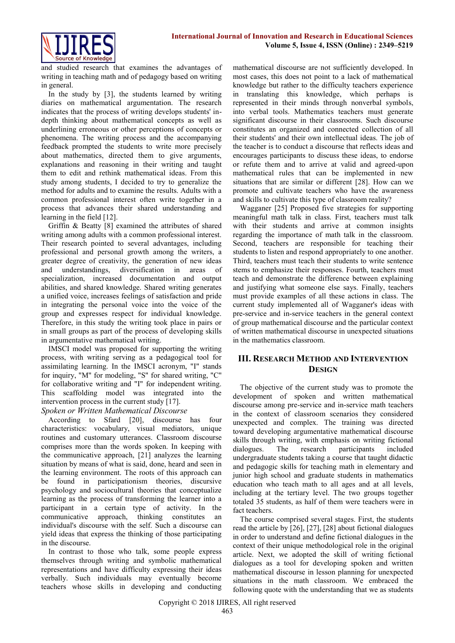

and studied research that examines the advantages of writing in teaching math and of pedagogy based on writing in general.

In the study by [3], the students learned by writing diaries on mathematical argumentation. The research indicates that the process of writing develops students' indepth thinking about mathematical concepts as well as underlining erroneous or other perceptions of concepts or phenomena. The writing process and the accompanying feedback prompted the students to write more precisely about mathematics, directed them to give arguments, explanations and reasoning in their writing and taught them to edit and rethink mathematical ideas. From this study among students, I decided to try to generalize the method for adults and to examine the results. Adults with a common professional interest often write together in a process that advances their shared understanding and learning in the field [12].

Griffin & Beatty [8] examined the attributes of shared writing among adults with a common professional interest. Their research pointed to several advantages, including professional and personal growth among the writers, a greater degree of creativity, the generation of new ideas and understandings, diversification in areas of specialization, increased documentation and output abilities, and shared knowledge. Shared writing generates a unified voice, increases feelings of satisfaction and pride in integrating the personal voice into the voice of the group and expresses respect for individual knowledge. Therefore, in this study the writing took place in pairs or in small groups as part of the process of developing skills in argumentative mathematical writing.

IMSCI model was proposed for supporting the writing process, with writing serving as a pedagogical tool for assimilating learning. In the IMSCI acronym, "I" stands for inquiry, "M" for modeling, "S" for shared writing, "C" for collaborative writing and "I" for independent writing. This scaffolding model was integrated into the intervention process in the current study [17].

#### *Spoken or Written Mathematical Discourse*

According to Sfard [20], discourse has four characteristics: vocabulary, visual mediators, unique routines and customary utterances. Classroom discourse comprises more than the words spoken. In keeping with the communicative approach, [21] analyzes the learning situation by means of what is said, done, heard and seen in the learning environment. The roots of this approach can be found in participationism theories, discursive psychology and sociocultural theories that conceptualize learning as the process of transforming the learner into a participant in a certain type of activity. In the communicative approach, thinking constitutes an individual's discourse with the self. Such a discourse can yield ideas that express the thinking of those participating in the discourse.

In contrast to those who talk, some people express themselves through writing and symbolic mathematical representations and have difficulty expressing their ideas verbally. Such individuals may eventually become teachers whose skills in developing and conducting mathematical discourse are not sufficiently developed. In most cases, this does not point to a lack of mathematical knowledge but rather to the difficulty teachers experience in translating this knowledge, which perhaps is represented in their minds through nonverbal symbols, into verbal tools. Mathematics teachers must generate significant discourse in their classrooms. Such discourse constitutes an organized and connected collection of all their students' and their own intellectual ideas. The job of the teacher is to conduct a discourse that reflects ideas and encourages participants to discuss these ideas, to endorse or refute them and to arrive at valid and agreed-upon mathematical rules that can be implemented in new situations that are similar or different [28]. How can we promote and cultivate teachers who have the awareness and skills to cultivate this type of classroom reality?

Wagganer [25] Proposed five strategies for supporting meaningful math talk in class. First, teachers must talk with their students and arrive at common insights regarding the importance of math talk in the classroom. Second, teachers are responsible for teaching their students to listen and respond appropriately to one another. Third, teachers must teach their students to write sentence stems to emphasize their responses. Fourth, teachers must teach and demonstrate the difference between explaining and justifying what someone else says. Finally, teachers must provide examples of all these actions in class. The current study implemented all of Wagganer's ideas with pre-service and in-service teachers in the general context of group mathematical discourse and the particular context of written mathematical discourse in unexpected situations in the mathematics classroom.

#### **III. RESEARCH METHOD AND INTERVENTION DESIGN**

The objective of the current study was to promote the development of spoken and written mathematical discourse among pre-service and in-service math teachers in the context of classroom scenarios they considered unexpected and complex. The training was directed toward developing argumentative mathematical discourse skills through writing, with emphasis on writing fictional dialogues. The research participants included undergraduate students taking a course that taught didactic and pedagogic skills for teaching math in elementary and junior high school and graduate students in mathematics education who teach math to all ages and at all levels, including at the tertiary level. The two groups together totaled 35 students, as half of them were teachers were in fact teachers.

The course comprised several stages. First, the students read the article by [26], [27], [28] about fictional dialogues in order to understand and define fictional dialogues in the context of their unique methodological role in the original article. Next, we adopted the skill of writing fictional dialogues as a tool for developing spoken and written mathematical discourse in lesson planning for unexpected situations in the math classroom. We embraced the following quote with the understanding that we as students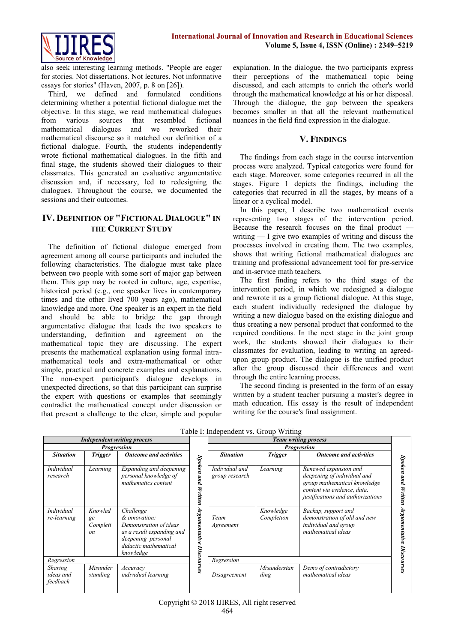

also seek interesting learning methods. "People are eager for stories. Not dissertations. Not lectures. Not informative essays for stories" (Haven, 2007, p. 8 on [26]).

Third, we defined and formulated conditions determining whether a potential fictional dialogue met the objective. In this stage, we read mathematical dialogues from various sources that resembled fictional mathematical dialogues and we reworked their mathematical discourse so it matched our definition of a fictional dialogue. Fourth, the students independently wrote fictional mathematical dialogues. In the fifth and final stage, the students showed their dialogues to their classmates. This generated an evaluative argumentative discussion and, if necessary, led to redesigning the dialogues. Throughout the course, we documented the sessions and their outcomes.

## **IV. DEFINITION OF "FICTIONAL DIALOGUE" IN THE CURRENT STUDY**

The definition of fictional dialogue emerged from agreement among all course participants and included the following characteristics. The dialogue must take place between two people with some sort of major gap between them. This gap may be rooted in culture, age, expertise, historical period (e.g., one speaker lives in contemporary times and the other lived 700 years ago), mathematical knowledge and more. One speaker is an expert in the field and should be able to bridge the gap through argumentative dialogue that leads the two speakers to understanding, definition and agreement on the mathematical topic they are discussing. The expert presents the mathematical explanation using formal intramathematical tools and extra-mathematical or other simple, practical and concrete examples and explanations. The non-expert participant's dialogue develops in unexpected directions, so that this participant can surprise the expert with questions or examples that seemingly contradict the mathematical concept under discussion or that present a challenge to the clear, simple and popular explanation. In the dialogue, the two participants express their perceptions of the mathematical topic being discussed, and each attempts to enrich the other's world through the mathematical knowledge at his or her disposal. Through the dialogue, the gap between the speakers becomes smaller in that all the relevant mathematical nuances in the field find expression in the dialogue.

#### **V. FINDINGS**

The findings from each stage in the course intervention process were analyzed. Typical categories were found for each stage. Moreover, some categories recurred in all the stages. Figure 1 depicts the findings, including the categories that recurred in all the stages, by means of a linear or a cyclical model.

In this paper, I describe two mathematical events representing two stages of the intervention period. Because the research focuses on the final product writing — I give two examples of writing and discuss the processes involved in creating them. The two examples, shows that writing fictional mathematical dialogues are training and professional advancement tool for pre-service and in-service math teachers.

The first finding refers to the third stage of the intervention period, in which we redesigned a dialogue and rewrote it as a group fictional dialogue. At this stage, each student individually redesigned the dialogue by writing a new dialogue based on the existing dialogue and thus creating a new personal product that conformed to the required conditions. In the next stage in the joint group work, the students showed their dialogues to their classmates for evaluation, leading to writing an agreedupon group product. The dialogue is the unified product after the group discussed their differences and went through the entire learning process.

The second finding is presented in the form of an essay written by a student teacher pursuing a master's degree in math education. His essay is the result of independent writing for the course's final assignment.

| <b>Independent writing process</b>      |                                        |                                                                                                                                               |                                | <b>Team writing process</b>      |                         |                                                                                                                                                          |            |
|-----------------------------------------|----------------------------------------|-----------------------------------------------------------------------------------------------------------------------------------------------|--------------------------------|----------------------------------|-------------------------|----------------------------------------------------------------------------------------------------------------------------------------------------------|------------|
| <b>Progression</b>                      |                                        |                                                                                                                                               |                                | <b>Progression</b>               |                         |                                                                                                                                                          |            |
| <b>Situation</b>                        | <b>Trigger</b>                         | <b>Outcome and activities</b>                                                                                                                 |                                | <b>Situation</b>                 | <b>Trigger</b>          | <b>Outcome and activities</b>                                                                                                                            | Spok       |
| Individual<br>research                  | Learning                               | Expanding and deepening<br>personal knowledge of<br>mathematics content                                                                       | Spoken<br>puv<br>Written       | Individual and<br>group research | Learning                | Renewed expansion and<br>deepening of individual and<br>group mathematical knowledge<br>content via evidence, data,<br>justifications and authorizations | Wr.        |
| Individual<br>re-learning               | Knowled<br>ge<br>Completi<br><i>on</i> | Challenge<br>& innovation:<br>Demonstration of ideas<br>as a result expanding and<br>deepening personal<br>didactic mathematical<br>knowledge | $4r$ gumentative<br>Discourses | Team<br>Agreement                | Knowledge<br>Completion | Backup, support and<br>demonstration of old and new<br>individual and group<br>mathematical ideas                                                        | rgumentati |
| Regression                              |                                        |                                                                                                                                               | Regression                     |                                  |                         |                                                                                                                                                          |            |
| <b>Sharing</b><br>ideas and<br>feedback | Misunder<br>standing                   | Accuracy<br>individual learning                                                                                                               |                                | Disagreement                     | Misunderstan<br>ding    | Demo of contradictory<br>mathematical ideas                                                                                                              |            |

Table I: Independent vs. Group Writing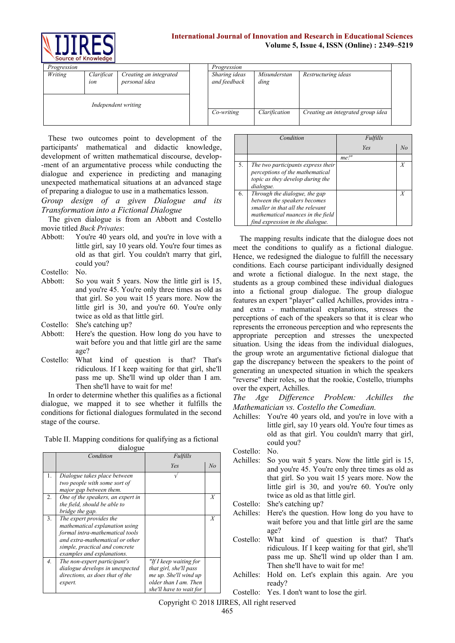

#### **International Journal of Innovation and Research in Educational Sciences Volume 5, Issue 4, ISSN (Online) : 2349–5219**

| Progression         |                   |                                         | Progression                   |                                   |                     |  |
|---------------------|-------------------|-----------------------------------------|-------------------------------|-----------------------------------|---------------------|--|
| Writing             | Clarificat<br>ion | Creating an integrated<br>personal idea | Sharing ideas<br>and feedback | Misunderstan<br>ding              | Restructuring ideas |  |
| Independent writing |                   |                                         |                               |                                   |                     |  |
|                     |                   | Co-writing                              | Clarification                 | Creating an integrated group idea |                     |  |

These two outcomes point to development of the participants' mathematical and didactic knowledge, development of written mathematical discourse, develop- -ment of an argumentative process while conducting the dialogue and experience in predicting and managing unexpected mathematical situations at an advanced stage of preparing a dialogue to use in a mathematics lesson.

*Group design of a given Dialogue and its Transformation into a Fictional Dialogue*

The given dialogue is from an Abbott and Costello movie titled *Buck Privates*:

- Abbott: You're 40 years old, and you're in love with a little girl, say 10 years old. You're four times as old as that girl. You couldn't marry that girl, could you?
- Costello: No.
- Abbott: So you wait 5 years. Now the little girl is 15, and you're 45. You're only three times as old as that girl. So you wait 15 years more. Now the little girl is 30, and you're 60. You're only twice as old as that little girl.

Costello: She's catching up?

- Abbott: Here's the question. How long do you have to wait before you and that little girl are the same age?
- Costello: What kind of question is that? That's ridiculous. If I keep waiting for that girl, she'll pass me up. She'll wind up older than I am. Then she'll have to wait for me!

In order to determine whether this qualifies as a fictional dialogue, we mapped it to see whether it fulfills the conditions for fictional dialogues formulated in the second stage of the course.

| Table II. Mapping conditions for qualifying as a fictional |  |  |
|------------------------------------------------------------|--|--|
| dialogue                                                   |  |  |

|                  | Condition<br>Fulfills                                             |                         |    |
|------------------|-------------------------------------------------------------------|-------------------------|----|
|                  |                                                                   | Yes                     | No |
| 1.               | Dialogue takes place between                                      |                         |    |
|                  | two people with some sort of<br>major gap between them.           |                         |    |
| 2.               | One of the speakers, an expert in                                 |                         | X  |
|                  | the field, should be able to<br>bridge the gap.                   |                         |    |
| 3.               | The expert provides the                                           |                         | X  |
|                  | mathematical explanation using<br>formal intra-mathematical tools |                         |    |
|                  | and extra-mathematical or other                                   |                         |    |
|                  | simple, practical and concrete                                    |                         |    |
| $\overline{4}$ . | examples and explanations.<br>The non-expert participant's        | "If I keep waiting for  |    |
|                  | dialogue develops in unexpected                                   | that girl, she'll pass  |    |
|                  | directions, as does that of the                                   | me up. She'll wind up   |    |
|                  | expert.                                                           | older than I am. Then   |    |
|                  |                                                                   | she'll have to wait for |    |

|    | Condition                                                                                                                                                                  | Fulfills   |    |
|----|----------------------------------------------------------------------------------------------------------------------------------------------------------------------------|------------|----|
|    |                                                                                                                                                                            | <b>Yes</b> | No |
|    |                                                                                                                                                                            | $me!$ "    |    |
| 5. | The two participants express their<br>perceptions of the mathematical<br>topic as they develop during the<br>dialogue.                                                     |            | Х  |
| 6. | Through the dialogue, the gap<br>between the speakers becomes<br>smaller in that all the relevant<br>mathematical nuances in the field<br>find expression in the dialogue. |            | Х  |

The mapping results indicate that the dialogue does not meet the conditions to qualify as a fictional dialogue. Hence, we redesigned the dialogue to fulfill the necessary conditions. Each course participant individually designed and wrote a fictional dialogue. In the next stage, the students as a group combined these individual dialogues into a fictional group dialogue. The group dialogue features an expert "player" called Achilles, provides intra and extra - mathematical explanations, stresses the perceptions of each of the speakers so that it is clear who represents the erroneous perception and who represents the appropriate perception and stresses the unexpected situation. Using the ideas from the individual dialogues, the group wrote an argumentative fictional dialogue that gap the discrepancy between the speakers to the point of generating an unexpected situation in which the speakers "reverse" their roles, so that the rookie, Costello, triumphs over the expert, Achilles.

*The Age Difference Problem: Achilles the Mathematician vs. Costello the Comedian.*

Achilles: You're 40 years old, and you're in love with a little girl, say 10 years old. You're four times as old as that girl. You couldn't marry that girl, could you?

Costello: No.

Achilles: So you wait 5 years. Now the little girl is 15, and you're 45. You're only three times as old as that girl. So you wait 15 years more. Now the little girl is 30, and you're 60. You're only twice as old as that little girl.

Costello: She's catching up?

- Achilles: Here's the question. How long do you have to wait before you and that little girl are the same age?
- Costello: What kind of question is that? That's ridiculous. If I keep waiting for that girl, she'll pass me up. She'll wind up older than I am. Then she'll have to wait for me!
- Achilles: Hold on. Let's explain this again. Are you ready?

Costello: Yes. I don't want to lose the girl.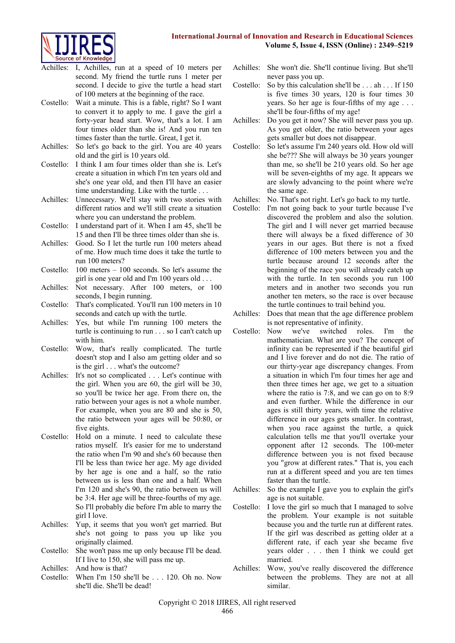

- Achilles: I, Achilles, run at a speed of 10 meters per second. My friend the turtle runs 1 meter per second. I decide to give the turtle a head start of 100 meters at the beginning of the race.
- Costello: Wait a minute. This is a fable, right? So I want to convert it to apply to me. I gave the girl a forty-year head start. Wow, that's a lot. I am four times older than she is! And you run ten times faster than the turtle. Great, I get it.
- Achilles: So let's go back to the girl. You are 40 years old and the girl is 10 years old.
- Costello: I think I am four times older than she is. Let's create a situation in which I'm ten years old and she's one year old, and then I'll have an easier time understanding. Like with the turtle . . .
- Achilles: Unnecessary. We'll stay with two stories with different ratios and we'll still create a situation where you can understand the problem.
- Costello: I understand part of it. When I am 45, she'll be 15 and then I'll be three times older than she is.
- Achilles: Good. So I let the turtle run 100 meters ahead of me. How much time does it take the turtle to run 100 meters?
- Costello: 100 meters 100 seconds. So let's assume the girl is one year old and I'm 100 years old . . .
- Achilles: Not necessary. After 100 meters, or 100 seconds, I begin running.
- Costello: That's complicated. You'll run 100 meters in 10 seconds and catch up with the turtle.
- Achilles: Yes, but while I'm running 100 meters the turtle is continuing to run . . . so I can't catch up with him.
- Costello: Wow, that's really complicated. The turtle doesn't stop and I also am getting older and so is the girl . . . what's the outcome?
- Achilles: It's not so complicated . . . Let's continue with the girl. When you are 60, the girl will be 30, so you'll be twice her age. From there on, the ratio between your ages is not a whole number. For example, when you are 80 and she is 50, the ratio between your ages will be 50:80, or five eights.
- Costello: Hold on a minute. I need to calculate these ratios myself. It's easier for me to understand the ratio when I'm 90 and she's 60 because then I'll be less than twice her age. My age divided by her age is one and a half, so the ratio between us is less than one and a half. When I'm 120 and she's 90, the ratio between us will be 3:4. Her age will be three-fourths of my age. So I'll probably die before I'm able to marry the girl I love.
- Achilles: Yup, it seems that you won't get married. But she's not going to pass you up like you originally claimed.
- Costello: She won't pass me up only because I'll be dead. If I live to 150, she will pass me up.
- Achilles: And how is that?
- Costello: When I'm 150 she'll be . . . 120. Oh no. Now she'll die. She'll be dead!
- Achilles: She won't die. She'll continue living. But she'll never pass you up.
- Costello: So by this calculation she'll be . . . ah . . . If 150 is five times 30 years, 120 is four times 30 years. So her age is four-fifths of my age . . . she'll be four-fifths of my age!
- Achilles: Do you get it now? She will never pass you up. As you get older, the ratio between your ages gets smaller but does not disappear.
- Costello: So let's assume I'm 240 years old. How old will she be??? She will always be 30 years younger than me, so she'll be 210 years old. So her age will be seven-eighths of my age. It appears we are slowly advancing to the point where we're the same age.
- Achilles: No. That's not right. Let's go back to my turtle.
- Costello: I'm not going back to your turtle because I've discovered the problem and also the solution. The girl and I will never get married because there will always be a fixed difference of 30 years in our ages. But there is not a fixed difference of 100 meters between you and the turtle because around 12 seconds after the beginning of the race you will already catch up with the turtle. In ten seconds you run 100 meters and in another two seconds you run another ten meters, so the race is over because the turtle continues to trail behind you.
- Achilles: Does that mean that the age difference problem is not representative of infinity.
- Costello: Now we've switched roles. I'm the mathematician. What are you? The concept of infinity can be represented if the beautiful girl and I live forever and do not die. The ratio of our thirty-year age discrepancy changes. From a situation in which I'm four times her age and then three times her age, we get to a situation where the ratio is 7:8, and we can go on to 8:9 and even further. While the difference in our ages is still thirty years, with time the relative difference in our ages gets smaller. In contrast, when you race against the turtle, a quick calculation tells me that you'll overtake your opponent after 12 seconds. The 100-meter difference between you is not fixed because you "grow at different rates." That is, you each run at a different speed and you are ten times faster than the turtle.
- Achilles: So the example I gave you to explain the girl's age is not suitable.
- Costello: I love the girl so much that I managed to solve the problem. Your example is not suitable because you and the turtle run at different rates. If the girl was described as getting older at a different rate, if each year she became five years older . . . then I think we could get married.
- Achilles: Wow, you've really discovered the difference between the problems. They are not at all similar.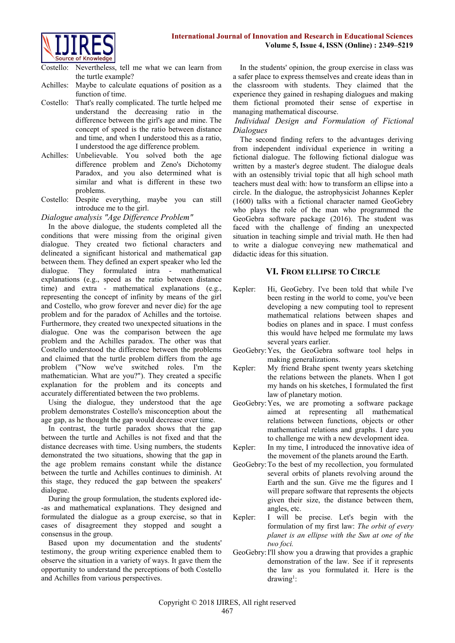

- Costello: Nevertheless, tell me what we can learn from the turtle example?
- Achilles: Maybe to calculate equations of position as a function of time.
- Costello: That's really complicated. The turtle helped me understand the decreasing ratio in the difference between the girl's age and mine. The concept of speed is the ratio between distance and time, and when I understood this as a ratio, I understood the age difference problem.
- Achilles: Unbelievable. You solved both the age difference problem and Zeno's Dichotomy Paradox, and you also determined what is similar and what is different in these two problems.
- Costello: Despite everything, maybe you can still introduce me to the girl.

*Dialogue analysis "Age Difference Problem"*

In the above dialogue, the students completed all the conditions that were missing from the original given dialogue. They created two fictional characters and delineated a significant historical and mathematical gap between them. They defined an expert speaker who led the dialogue. They formulated intra - mathematical explanations (e.g., speed as the ratio between distance time) and extra - mathematical explanations (e.g., representing the concept of infinity by means of the girl and Costello, who grow forever and never die) for the age problem and for the paradox of Achilles and the tortoise. Furthermore, they created two unexpected situations in the dialogue. One was the comparison between the age problem and the Achilles paradox. The other was that Costello understood the difference between the problems and claimed that the turtle problem differs from the age problem ("Now we've switched roles. I'm the mathematician. What are you?"). They created a specific explanation for the problem and its concepts and accurately differentiated between the two problems.

Using the dialogue, they understood that the age problem demonstrates Costello's misconception about the age gap, as he thought the gap would decrease over time.

In contrast, the turtle paradox shows that the gap between the turtle and Achilles is not fixed and that the distance decreases with time. Using numbers, the students demonstrated the two situations, showing that the gap in the age problem remains constant while the distance between the turtle and Achilles continues to diminish. At this stage, they reduced the gap between the speakers' dialogue.

During the group formulation, the students explored ide- -as and mathematical explanations. They designed and formulated the dialogue as a group exercise, so that in cases of disagreement they stopped and sought a consensus in the group.

Based upon my documentation and the students' testimony, the group writing experience enabled them to observe the situation in a variety of ways. It gave them the opportunity to understand the perceptions of both Costello and Achilles from various perspectives.

In the students' opinion, the group exercise in class was a safer place to express themselves and create ideas than in the classroom with students. They claimed that the experience they gained in reshaping dialogues and making them fictional promoted their sense of expertise in managing mathematical discourse.

#### *Individual Design and Formulation of Fictional Dialogues*

The second finding refers to the advantages deriving from independent individual experience in writing a fictional dialogue. The following fictional dialogue was written by a master's degree student. The dialogue deals with an ostensibly trivial topic that all high school math teachers must deal with: how to transform an ellipse into a circle. In the dialogue, the astrophysicist Johannes Kepler (1600) talks with a fictional character named GeoGebry who plays the role of the man who programmed the GeoGebra software package (2016). The student was faced with the challenge of finding an unexpected situation in teaching simple and trivial math. He then had to write a dialogue conveying new mathematical and didactic ideas for this situation.

#### **VI. FROM ELLIPSE TO CIRCLE**

- Kepler: Hi, GeoGebry. I've been told that while I've been resting in the world to come, you've been developing a new computing tool to represent mathematical relations between shapes and bodies on planes and in space. I must confess this would have helped me formulate my laws several years earlier.
- GeoGebry:Yes, the GeoGebra software tool helps in making generalizations.
- Kepler: My friend Brahe spent twenty years sketching the relations between the planets. When I got my hands on his sketches, I formulated the first law of planetary motion.
- GeoGebry:Yes, we are promoting a software package aimed at representing all mathematical relations between functions, objects or other mathematical relations and graphs. I dare you to challenge me with a new development idea.
- Kepler: In my time, I introduced the innovative idea of the movement of the planets around the Earth.
- GeoGebry:To the best of my recollection, you formulated several orbits of planets revolving around the Earth and the sun. Give me the figures and I will prepare software that represents the objects given their size, the distance between them, angles, etc.
- Kepler: I will be precise. Let's begin with the formulation of my first law: *The orbit of every planet is an ellipse with the Sun at one of the two foci.*
- GeoGebry:I'll show you a drawing that provides a graphic demonstration of the law. See if it represents the law as you formulated it. Here is the  $drawing<sup>1</sup>$ :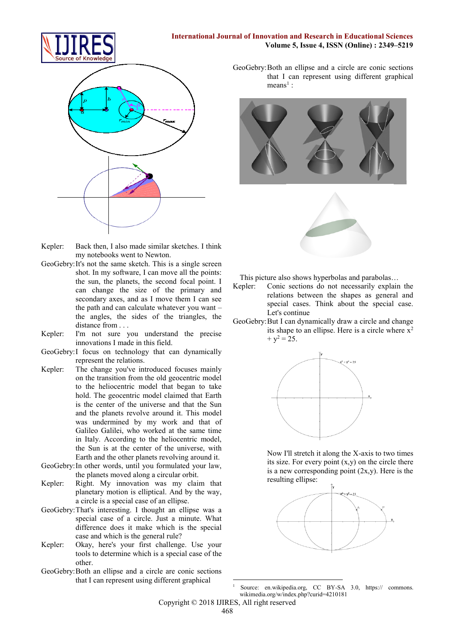

- Kepler: Back then, I also made similar sketches. I think my notebooks went to Newton.
- GeoGebry:It's not the same sketch. This is a single screen shot. In my software, I can move all the points: the sun, the planets, the second focal point. I can change the size of the primary and secondary axes, and as I move them I can see the path and can calculate whatever you want – the angles, the sides of the triangles, the distance from . . .
- Kepler: I'm not sure you understand the precise innovations I made in this field.
- GeoGebry:I focus on technology that can dynamically represent the relations.
- Kepler: The change you've introduced focuses mainly on the transition from the old geocentric model to the heliocentric model that began to take hold. The geocentric model claimed that Earth is the center of the universe and that the Sun and the planets revolve around it. This model was undermined by my work and that of Galileo Galilei, who worked at the same time in Italy. According to the heliocentric model, the Sun is at the center of the universe, with Earth and the other planets revolving around it.
- GeoGebry:In other words, until you formulated your law, the planets moved along a circular orbit.
- Kepler: Right. My innovation was my claim that planetary motion is elliptical. And by the way, a circle is a special case of an ellipse.
- GeoGebry:That's interesting. I thought an ellipse was a special case of a circle. Just a minute. What difference does it make which is the special case and which is the general rule?
- Kepler: Okay, here's your first challenge. Use your tools to determine which is a special case of the other.
- GeoGebry:Both an ellipse and a circle are conic sections that I can represent using different graphical

GeoGebry:Both an ellipse and a circle are conic sections that I can represent using different graphical

 $means<sup>1</sup>$ :

**Volume 5, Issue 4, ISSN (Online) : 2349–5219**





This picture also shows hyperbolas and parabolas…

- Kepler: Conic sections do not necessarily explain the relations between the shapes as general and special cases. Think about the special case. Let's continue
- GeoGebry:But I can dynamically draw a circle and change its shape to an ellipse. Here is a circle where  $x^2$  $+ v^2 = 25.$



Now I'll stretch it along the X-axis to two times its size. For every point  $(x,y)$  on the circle there is a new corresponding point  $(2x,y)$ . Here is the resulting ellipse:



**<sup>.</sup>** Source: en.wikipedia.org, CC BY-SA 3.0, https:// commons. wikimedia.org/w/index.php?curid=4210181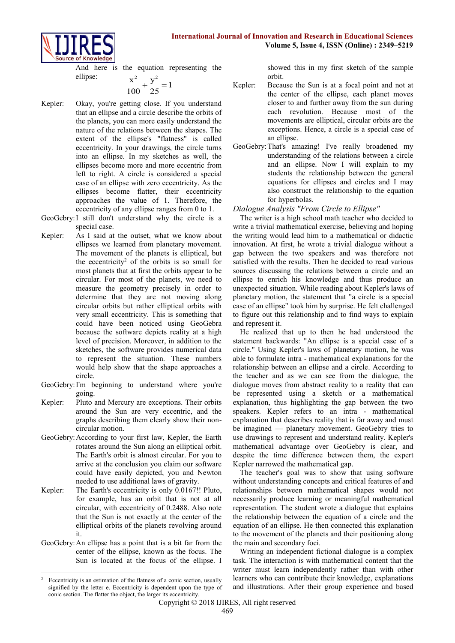



And here is the equation representing the ellipse:  $\sqrt{2}$   $\sqrt{2}$ 

$$
\frac{x^2}{100} + \frac{y^2}{25} = 1
$$

- Kepler: Okay, you're getting close. If you understand that an ellipse and a circle describe the orbits of the planets, you can more easily understand the nature of the relations between the shapes. The extent of the ellipse's "flatness" is called eccentricity. In your drawings, the circle turns into an ellipse. In my sketches as well, the ellipses become more and more eccentric from left to right. A circle is considered a special case of an ellipse with zero eccentricity. As the ellipses become flatter, their eccentricity approaches the value of 1. Therefore, the eccentricity of any ellipse ranges from 0 to 1.
- GeoGebry:I still don't understand why the circle is a special case.
- Kepler: As I said at the outset, what we know about ellipses we learned from planetary movement. The movement of the planets is elliptical, but the eccentricity<sup>2</sup> of the orbits is so small for most planets that at first the orbits appear to be circular. For most of the planets, we need to measure the geometry precisely in order to determine that they are not moving along circular orbits but rather elliptical orbits with very small eccentricity. This is something that could have been noticed using GeoGebra because the software depicts reality at a high level of precision. Moreover, in addition to the sketches, the software provides numerical data to represent the situation. These numbers would help show that the shape approaches a circle.
- GeoGebry:I'm beginning to understand where you're going.
- Kepler: Pluto and Mercury are exceptions. Their orbits around the Sun are very eccentric, and the graphs describing them clearly show their noncircular motion.
- GeoGebry:According to your first law, Kepler, the Earth rotates around the Sun along an elliptical orbit. The Earth's orbit is almost circular. For you to arrive at the conclusion you claim our software could have easily depicted, you and Newton needed to use additional laws of gravity.
- Kepler: The Earth's eccentricity is only 0.0167!! Pluto, for example, has an orbit that is not at all circular, with eccentricity of 0.2488. Also note that the Sun is not exactly at the center of the elliptical orbits of the planets revolving around it.
- GeoGebry:An ellipse has a point that is a bit far from the center of the ellipse, known as the focus. The Sun is located at the focus of the ellipse. I

showed this in my first sketch of the sample orbit.

- Kepler: Because the Sun is at a focal point and not at the center of the ellipse, each planet moves closer to and further away from the sun during each revolution. Because most of the movements are elliptical, circular orbits are the exceptions. Hence, a circle is a special case of an ellipse.
- GeoGebry:That's amazing! I've really broadened my understanding of the relations between a circle and an ellipse. Now I will explain to my students the relationship between the general equations for ellipses and circles and I may also construct the relationship to the equation for hyperbolas.

#### *Dialogue Analysis "From Circle to Ellipse"*

The writer is a high school math teacher who decided to write a trivial mathematical exercise, believing and hoping the writing would lead him to a mathematical or didactic innovation. At first, he wrote a trivial dialogue without a gap between the two speakers and was therefore not satisfied with the results. Then he decided to read various sources discussing the relations between a circle and an ellipse to enrich his knowledge and thus produce an unexpected situation. While reading about Kepler's laws of planetary motion, the statement that "a circle is a special case of an ellipse" took him by surprise. He felt challenged to figure out this relationship and to find ways to explain and represent it.

He realized that up to then he had understood the statement backwards: "An ellipse is a special case of a circle." Using Kepler's laws of planetary motion, he was able to formulate intra - mathematical explanations for the relationship between an ellipse and a circle. According to the teacher and as we can see from the dialogue, the dialogue moves from abstract reality to a reality that can be represented using a sketch or a mathematical explanation, thus highlighting the gap between the two speakers. Kepler refers to an intra - mathematical explanation that describes reality that is far away and must be imagined — planetary movement. GeoGebry tries to use drawings to represent and understand reality. Kepler's mathematical advantage over GeoGebry is clear, and despite the time difference between them, the expert Kepler narrowed the mathematical gap.

The teacher's goal was to show that using software without understanding concepts and critical features of and relationships between mathematical shapes would not necessarily produce learning or meaningful mathematical representation. The student wrote a dialogue that explains the relationship between the equation of a circle and the equation of an ellipse. He then connected this explanation to the movement of the planets and their positioning along the main and secondary foci.

Writing an independent fictional dialogue is a complex task. The interaction is with mathematical content that the writer must learn independently rather than with other learners who can contribute their knowledge, explanations and illustrations. After their group experience and based

**<sup>.</sup>** 2 Eccentricity is an estimation of the flatness of a conic section, usually signified by the letter e. Eccentricity is dependent upon the type of conic section. The flatter the object, the larger its eccentricity.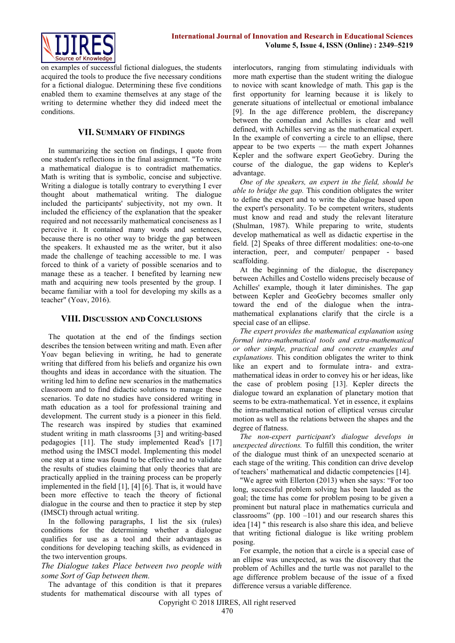

on examples of successful fictional dialogues, the students acquired the tools to produce the five necessary conditions for a fictional dialogue. Determining these five conditions enabled them to examine themselves at any stage of the writing to determine whether they did indeed meet the conditions.

#### **VII. SUMMARY OF FINDINGS**

In summarizing the section on findings, I quote from one student's reflections in the final assignment. "To write a mathematical dialogue is to contradict mathematics. Math is writing that is symbolic, concise and subjective. Writing a dialogue is totally contrary to everything I ever thought about mathematical writing. The dialogue included the participants' subjectivity, not my own. It included the efficiency of the explanation that the speaker required and not necessarily mathematical conciseness as I perceive it. It contained many words and sentences, because there is no other way to bridge the gap between the speakers. It exhausted me as the writer, but it also made the challenge of teaching accessible to me. I was forced to think of a variety of possible scenarios and to manage these as a teacher. I benefited by learning new math and acquiring new tools presented by the group. I became familiar with a tool for developing my skills as a teacher" (Yoav, 2016).

#### **VIII. DISCUSSION AND CONCLUSIONS**

The quotation at the end of the findings section describes the tension between writing and math. Even after Yoav began believing in writing, he had to generate writing that differed from his beliefs and organize his own thoughts and ideas in accordance with the situation. The writing led him to define new scenarios in the mathematics classroom and to find didactic solutions to manage these scenarios. To date no studies have considered writing in math education as a tool for professional training and development. The current study is a pioneer in this field. The research was inspired by studies that examined student writing in math classrooms [3] and writing-based pedagogies [11]. The study implemented Read's [17] method using the IMSCI model. Implementing this model one step at a time was found to be effective and to validate the results of studies claiming that only theories that are practically applied in the training process can be properly implemented in the field [1], [4] [6]. That is, it would have been more effective to teach the theory of fictional dialogue in the course and then to practice it step by step (IMSCI) through actual writing.

In the following paragraphs, I list the six (rules) conditions for the determining whether a dialogue qualifies for use as a tool and their advantages as conditions for developing teaching skills, as evidenced in the two intervention groups.

*The Dialogue takes Place between two people with some Sort of Gap between them.*

The advantage of this condition is that it prepares students for mathematical discourse with all types of interlocutors, ranging from stimulating individuals with more math expertise than the student writing the dialogue to novice with scant knowledge of math. This gap is the first opportunity for learning because it is likely to generate situations of intellectual or emotional imbalance [9]. In the age difference problem, the discrepancy between the comedian and Achilles is clear and well defined, with Achilles serving as the mathematical expert. In the example of converting a circle to an ellipse, there appear to be two experts — the math expert Johannes Kepler and the software expert GeoGebry. During the course of the dialogue, the gap widens to Kepler's advantage.

*One of the speakers, an expert in the field, should be able to bridge the gap.* This condition obligates the writer to define the expert and to write the dialogue based upon the expert's personality. To be competent writers, students must know and read and study the relevant literature (Shulman, 1987). While preparing to write, students develop mathematical as well as didactic expertise in the field. [2] Speaks of three different modalities: one-to-one interaction, peer, and computer/ penpaper - based scaffolding.

At the beginning of the dialogue, the discrepancy between Achilles and Costello widens precisely because of Achilles' example, though it later diminishes. The gap between Kepler and GeoGebry becomes smaller only toward the end of the dialogue when the intramathematical explanations clarify that the circle is a special case of an ellipse.

*The expert provides the mathematical explanation using formal intra-mathematical tools and extra-mathematical or other simple, practical and concrete examples and explanations.* This condition obligates the writer to think like an expert and to formulate intra- and extramathematical ideas in order to convey his or her ideas, like the case of problem posing [13]. Kepler directs the dialogue toward an explanation of planetary motion that seems to be extra-mathematical. Yet in essence, it explains the intra-mathematical notion of elliptical versus circular motion as well as the relations between the shapes and the degree of flatness.

*The non-expert participant's dialogue develops in unexpected directions.* To fulfill this condition, the writer of the dialogue must think of an unexpected scenario at each stage of the writing. This condition can drive develop of teachers' mathematical and didactic competencies [14].

"We agree with Ellerton (2013) when she says: "For too long, successful problem solving has been lauded as the goal; the time has come for problem posing to be given a prominent but natural place in mathematics curricula and classrooms" (pp.  $100 - 101$ ) and our research shares this idea [14] " this research is also share this idea, and believe that writing fictional dialogue is like writing problem posing.

For example, the notion that a circle is a special case of an ellipse was unexpected, as was the discovery that the problem of Achilles and the turtle was not parallel to the age difference problem because of the issue of a fixed difference versus a variable difference.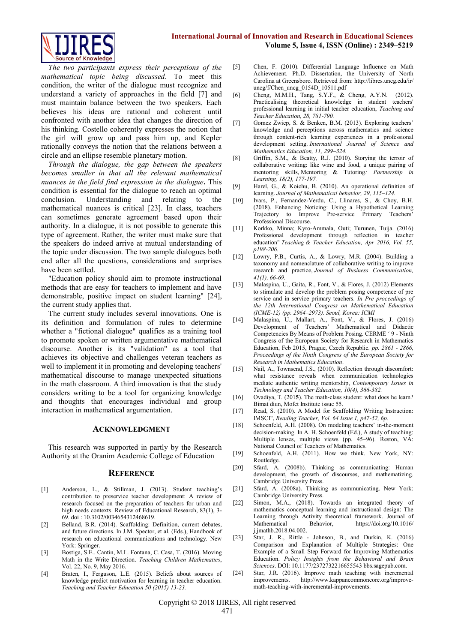

*The two participants express their perceptions of the mathematical topic being discussed.* To meet this condition, the writer of the dialogue must recognize and understand a variety of approaches in the field [7] and must maintain balance between the two speakers. Each believes his ideas are rational and coherent until confronted with another idea that changes the direction of his thinking. Costello coherently expresses the notion that the girl will grow up and pass him up, and Kepler rationally conveys the notion that the relations between a circle and an ellipse resemble planetary motion.

*Through the dialogue, the gap between the speakers becomes smaller in that all the relevant mathematical nuances in the field find expression in the dialogue***.** This condition is essential for the dialogue to reach an optimal conclusion. Understanding and relating to the mathematical nuances is critical [23]. In class, teachers can sometimes generate agreement based upon their authority. In a dialogue, it is not possible to generate this type of agreement. Rather, the writer must make sure that the speakers do indeed arrive at mutual understanding of the topic under discussion. The two sample dialogues both end after all the questions, considerations and surprises have been settled.

"Education policy should aim to promote instructional methods that are easy for teachers to implement and have demonstrable, positive impact on student learning" [24], the current study applies that.

The current study includes several innovations. One is its definition and formulation of rules to determine whether a "fictional dialogue" qualifies as a training tool to promote spoken or written argumentative mathematical discourse. Another is its "validation" as a tool that achieves its objective and challenges veteran teachers as well to implement it in promoting and developing teachers' mathematical discourse to manage unexpected situations in the math classroom. A third innovation is that the study considers writing to be a tool for organizing knowledge and thoughts that encourages individual and group interaction in mathematical argumentation.

#### **ACKNOWLEDGMENT**

This research was supported in partly by the Research Authority at the Oranim Academic College of Education

#### **REFERENCE**

- [1] Anderson, L., & Stillman, J. (2013). Student teaching's contribution to preservice teacher development: A review of research focused on the preparation of teachers for urban and high needs contexts. Review of Educational Research, 83(1), 3-69. doi : 10.3102/0034654312468619.
- [2] Belland, B.R. (2014). Scaffolding: Definition, current debates, and future directions. In J.M. Spector, et al. (Eds.), Handbook of research on educational communications and technology. New York: Springer.
- [3] Bostiga, S.E.. Cantin, M.L. Fontana, C. Casa, T. (2016). Moving Math in the Write Direction. *Teaching Children Mathematics*, Vol. 22, No. 9, May 2016.
- [4] Braten, I., Ferguson, L.E. (2015). Beliefs about sources of knowledge predict motivation for learning in teacher education. *Teaching and Teacher Education 50 (2015) 13-23.*
- [5] Chen, F. (2010). Differential Language Influence on Math Achievement. Ph.D. Dissertation, the University of North Carolina at Greensboro. Retrieved from: [http://libres.uncg.edu/ir/](http://libres.uncg.edu/ir/%20uncg/f/Chen_uncg_0154D_10511.pdf)  [uncg/f/Chen\\_uncg\\_0154D\\_10511.pdf](http://libres.uncg.edu/ir/%20uncg/f/Chen_uncg_0154D_10511.pdf)
- [6] Cheng, M.M.H., Tang, S.Y.F., & Cheng, A.Y.N. (2012). Practicalising theoretical knowledge in student teachers' professional learning in initial teacher education, *Teaching and Teacher Education, 28, 781-790.*
- [7] Gomez Zwiep, S. & Benken, B.M. (2013). Exploring teachers' knowledge and perceptions across mathematics and science through content-rich learning experiences in a professional development setting. *International Journal of Science and Mathematics Education, 11, 299–324.*
- [8] Griffin, S.M., & Beatty, R.J. (2010). Storying the terroir of collaborative writing: like wine and food, a unique pairing of mentoring skills, Mentoring & Tutoring*: Partnership in Learning, 18(2), 177-197.*
- [9] Harel, G., & Koichu, B. (2010). An operational definition of learning. *Journal of Mathematical behavior, 29, 115–124.*
- [10] Ivars, P., Fernandez-Verdu, C., Llinares, S., & Choy, B.H. (2018). Enhancing Noticing: Using a Hypothetical Learning Trajectory to Improve Pre-service Primary Teachers Professional Discourse.
- [11] Korkko, Minna; Kyro-Ammala, Outi; Turunen, Tuija. (2016) Professional development through reflection in teacher education" *Teaching & Teacher Education, Apr 2016, Vol. 55, p198-206.*
- [12] Lowry, P.B., Curtis, A., & Lowry, M.R. (2004). Building a taxonomy and nomenclature of collaborative writing to improve research and practice, *Journal of Business Communication, 41(1), 66-69.*
- [13] Malaspina, U., Gaita, R., Font, V., & Flores, J. (2012) Elements to stimulate and develop the problem posing competence of pre service and in service primary teachers*. In Pre proceedings of the 12th International Congress on Mathematical Education (ICME-12) (pp. 2964–2973). Seoul, Korea: ICMI*
- [14] Malaspina, U., Mallart, A., Font, V., & Flores, J. (2016) Development of Teachers' Mathematical and Didactic Competencies By Means of Problem Posing. CERME ˇ 9 - Ninth Congress of the European Society for Research in Mathematics Education, Feb 2015, Prague, Czech Republic. *pp. 2861 - 2866, Proceedings of the Ninth Congress of the European Society for Research in Mathematics Education*.
- [15] Nail, A., Townsend, J.S., (2010). Reflection through discomfort: what resistance reveals when communication technologies mediate authentic writing mentorship, *Contemporary Issues in Technology and Teacher Education, 10(4), 366-382.*
- [16] Ovadiya, T. (2015). The math-class student: what does he learn? Bimat diun, Mofet Institute issue 55.
- [17] Read, S. (2010). A Model for Scaffolding Writing Instruction: IMSCI", *Reading Teacher, Vol. 64 Issue 1, p47-52, 6p.*
- [18] Schoenfeld, A.H. (2008). On modeling teachers' in-the-moment decision-making. In A. H. Schoenfeld (Ed.), A study of teaching: Multiple lenses, multiple views (pp. 45–96). Reston, VA: National Council of Teachers of Mathematics.
- [19] Schoenfeld, A.H. (2011). How we think. New York, NY: Routledge.
- [20] Sfard, A. (2008b). Thinking as communicating: Human development, the growth of discourses, and mathematizing. Cambridge University Press.
- [21] Sfard, A. (2008a). Thinking as communicating. New York: Cambridge University Press.
- [22] Simon, M.A., (2018). Towards an integrated theory of mathematics conceptual learning and instructional design: The Learning through Activity theoretical framework. Journal of Mathematical Behavior, https://doi.org/10.1016/ Mathematical Behavior, https://doi.org/10.1016/ [j.jmathb.2018.04.002.](https://doi.org/10.1016/%20j.jmathb.2018.04.002)
- [23] Star, J. R., Rittle Johnson, B., and Durkin, K. (2016) Comparison and Explanation of Multiple Strategies: One Example of a Small Step Forward for Improving Mathematics Education. *Policy Insights from the Behavioral and Brain Sciences*. DOI: 10.1177/2372732216655543 bbs.sagepub.com.
- [24] Star, J.R. (2016). Improve math teaching with incremental improvements. [http://www.kappancommoncore.org/improve](http://www.kappancommoncore.org/improve-math-teaching-with-incremental-improvements)[math-teaching-with-incremental-improvements.](http://www.kappancommoncore.org/improve-math-teaching-with-incremental-improvements)